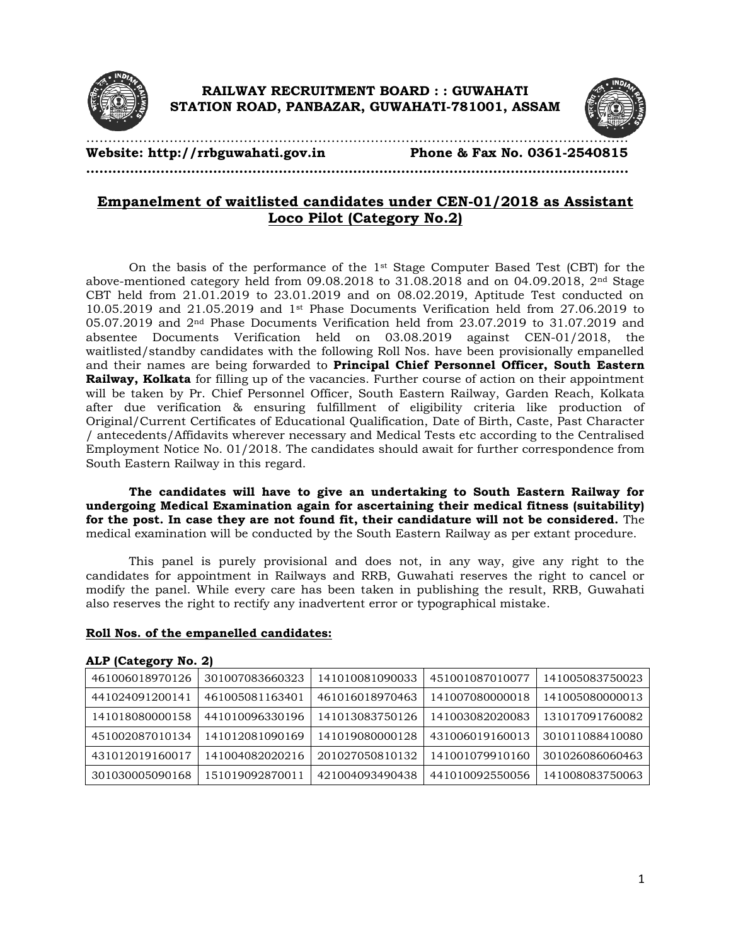



**Website: http://rrbguwahati.gov.in Phone & Fax No. 0361-2540815**

**…………………………………………………………………………………………………………….**

## **Empanelment of waitlisted candidates under CEN-01/2018 as Assistant Loco Pilot (Category No.2)**

…………………………………………………………………………………………………………….

On the basis of the performance of the  $1<sup>st</sup>$  Stage Computer Based Test (CBT) for the above-mentioned category held from 09.08.2018 to 31.08.2018 and on 04.09.2018, 2nd Stage CBT held from 21.01.2019 to 23.01.2019 and on 08.02.2019, Aptitude Test conducted on 10.05.2019 and 21.05.2019 and 1st Phase Documents Verification held from 27.06.2019 to 05.07.2019 and 2nd Phase Documents Verification held from 23.07.2019 to 31.07.2019 and absentee Documents Verification held on 03.08.2019 against CEN-01/2018, the waitlisted/standby candidates with the following Roll Nos. have been provisionally empanelled and their names are being forwarded to **Principal Chief Personnel Officer, South Eastern Railway, Kolkata** for filling up of the vacancies. Further course of action on their appointment will be taken by Pr. Chief Personnel Officer, South Eastern Railway, Garden Reach, Kolkata after due verification & ensuring fulfillment of eligibility criteria like production of Original/Current Certificates of Educational Qualification, Date of Birth, Caste, Past Character / antecedents/Affidavits wherever necessary and Medical Tests etc according to the Centralised Employment Notice No. 01/2018. The candidates should await for further correspondence from South Eastern Railway in this regard.

**The candidates will have to give an undertaking to South Eastern Railway for undergoing Medical Examination again for ascertaining their medical fitness (suitability) for the post. In case they are not found fit, their candidature will not be considered.** The medical examination will be conducted by the South Eastern Railway as per extant procedure.

This panel is purely provisional and does not, in any way, give any right to the candidates for appointment in Railways and RRB, Guwahati reserves the right to cancel or modify the panel. While every care has been taken in publishing the result, RRB, Guwahati also reserves the right to rectify any inadvertent error or typographical mistake.

## **Roll Nos. of the empanelled candidates:**

| 461006018970126 | 301007083660323 | 141010081090033 | 451001087010077 | 141005083750023 |  |  |  |  |
|-----------------|-----------------|-----------------|-----------------|-----------------|--|--|--|--|
| 441024091200141 | 461005081163401 | 461016018970463 | 141007080000018 | 141005080000013 |  |  |  |  |
| 141018080000158 | 441010096330196 | 141013083750126 | 141003082020083 | 131017091760082 |  |  |  |  |
| 451002087010134 | 141012081090169 | 141019080000128 | 431006019160013 | 301011088410080 |  |  |  |  |
| 431012019160017 | 141004082020216 | 201027050810132 | 141001079910160 | 301026086060463 |  |  |  |  |
| 301030005090168 | 151019092870011 | 421004093490438 | 441010092550056 | 141008083750063 |  |  |  |  |

## **ALP (Category No. 2)**